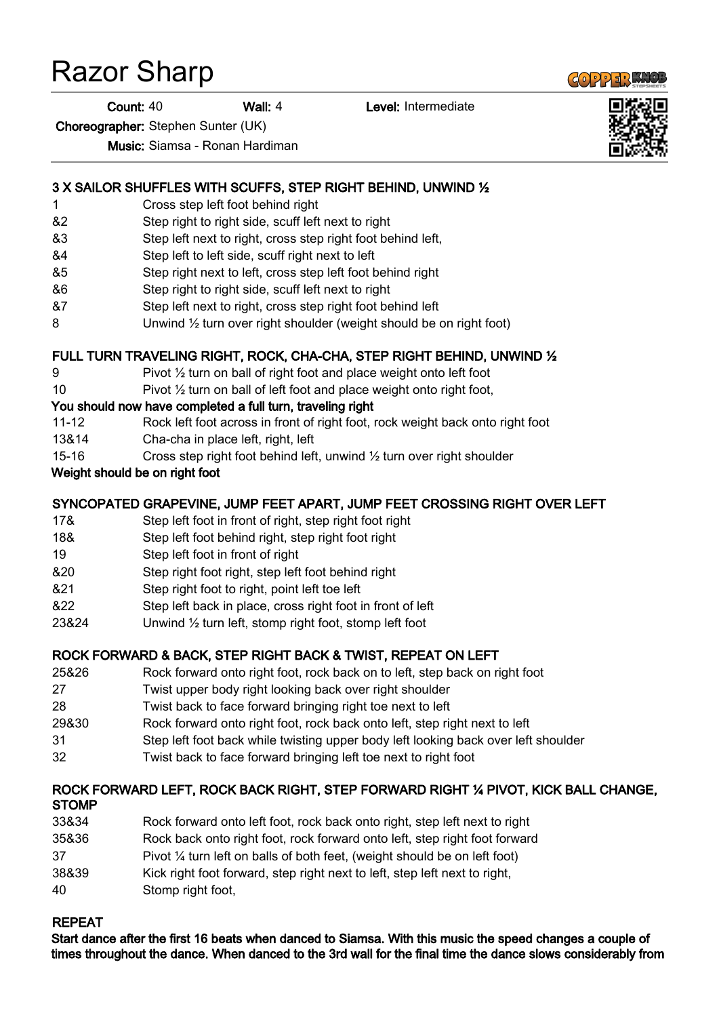# Razor Sharp

Count: 40 Wall: 4 Level: Intermediate

Choreographer: Stephen Sunter (UK)

Music: Siamsa - Ronan Hardiman

#### 3 X SAILOR SHUFFLES WITH SCUFFS, STEP RIGHT BEHIND, UNWIND ½

- 1 Cross step left foot behind right
- &2 Step right to right side, scuff left next to right
- &3 Step left next to right, cross step right foot behind left,
- &4 Step left to left side, scuff right next to left
- &5 Step right next to left, cross step left foot behind right
- &6 Step right to right side, scuff left next to right
- &7 Step left next to right, cross step right foot behind left
- 8 Unwind 1/<sub>2</sub> turn over right shoulder (weight should be on right foot)

### FULL TURN TRAVELING RIGHT, ROCK, CHA-CHA, STEP RIGHT BEHIND, UNWIND ½

- 9 Pivot 1/2 turn on ball of right foot and place weight onto left foot
- 10 Pivot ½ turn on ball of left foot and place weight onto right foot,

#### You should now have completed a full turn, traveling right

- 11-12 Rock left foot across in front of right foot, rock weight back onto right foot
- 13&14 Cha-cha in place left, right, left
- 15-16 Cross step right foot behind left, unwind  $\frac{1}{2}$  turn over right shoulder

#### Weight should be on right foot

#### SYNCOPATED GRAPEVINE, JUMP FEET APART, JUMP FEET CROSSING RIGHT OVER LEFT

- 17& Step left foot in front of right, step right foot right
- 18& Step left foot behind right, step right foot right
- 19 Step left foot in front of right
- &20 Step right foot right, step left foot behind right
- &21 Step right foot to right, point left toe left
- &22 Step left back in place, cross right foot in front of left
- 23&24 Unwind ½ turn left, stomp right foot, stomp left foot

#### ROCK FORWARD & BACK, STEP RIGHT BACK & TWIST, REPEAT ON LEFT

- 25&26 Rock forward onto right foot, rock back on to left, step back on right foot
- 27 Twist upper body right looking back over right shoulder
- 28 Twist back to face forward bringing right toe next to left
- 29&30 Rock forward onto right foot, rock back onto left, step right next to left
- 31 Step left foot back while twisting upper body left looking back over left shoulder
- 32 Twist back to face forward bringing left toe next to right foot

#### ROCK FORWARD LEFT, ROCK BACK RIGHT, STEP FORWARD RIGHT ¼ PIVOT, KICK BALL CHANGE, **STOMP**

33&34 Rock forward onto left foot, rock back onto right, step left next to right 35&36 Rock back onto right foot, rock forward onto left, step right foot forward 37 Pivot ¼ turn left on balls of both feet, (weight should be on left foot) 38&39 Kick right foot forward, step right next to left, step left next to right, 40 Stomp right foot,

#### REPEAT

Start dance after the first 16 beats when danced to Siamsa. With this music the speed changes a couple of times throughout the dance. When danced to the 3rd wall for the final time the dance slows considerably from